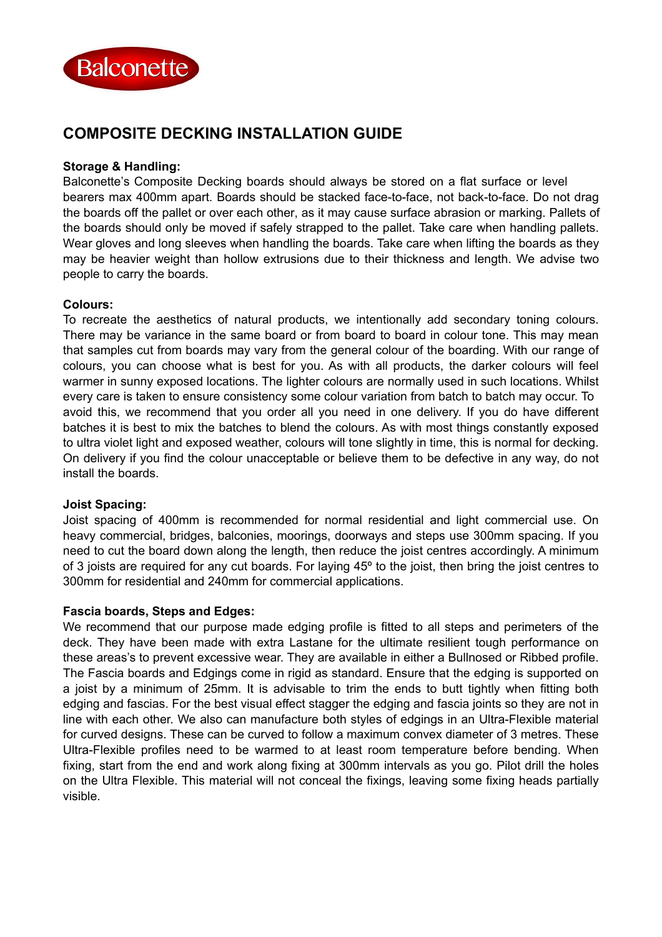

# **COMPOSITE DECKING INSTALLATION GUIDE**

## **Storage & Handling:**

Balconette's Composite Decking boards should always be stored on a flat surface or level bearers max 400mm apart. Boards should be stacked face-to-face, not back-to-face. Do not drag the boards off the pallet or over each other, as it may cause surface abrasion or marking. Pallets of the boards should only be moved if safely strapped to the pallet. Take care when handling pallets. Wear gloves and long sleeves when handling the boards. Take care when lifting the boards as they may be heavier weight than hollow extrusions due to their thickness and length. We advise two people to carry the boards.

## **Colours:**

To recreate the aesthetics of natural products, we intentionally add secondary toning colours. There may be variance in the same board or from board to board in colour tone. This may mean that samples cut from boards may vary from the general colour of the boarding. With our range of colours, you can choose what is best for you. As with all products, the darker colours will feel warmer in sunny exposed locations. The lighter colours are normally used in such locations. Whilst every care is taken to ensure consistency some colour variation from batch to batch may occur. To avoid this, we recommend that you order all you need in one delivery. If you do have different batches it is best to mix the batches to blend the colours. As with most things constantly exposed to ultra violet light and exposed weather, colours will tone slightly in time, this is normal for decking. On delivery if you find the colour unacceptable or believe them to be defective in any way, do not install the boards.

#### **Joist Spacing:**

Joist spacing of 400mm is recommended for normal residential and light commercial use. On heavy commercial, bridges, balconies, moorings, doorways and steps use 300mm spacing. If you need to cut the board down along the length, then reduce the joist centres accordingly. A minimum of 3 joists are required for any cut boards. For laying 45º to the joist, then bring the joist centres to 300mm for residential and 240mm for commercial applications.

#### **Fascia boards, Steps and Edges:**

We recommend that our purpose made edging profile is fitted to all steps and perimeters of the deck. They have been made with extra Lastane for the ultimate resilient tough performance on these areas's to prevent excessive wear. They are available in either a Bullnosed or Ribbed profile. The Fascia boards and Edgings come in rigid as standard. Ensure that the edging is supported on a joist by a minimum of 25mm. It is advisable to trim the ends to butt tightly when fitting both edging and fascias. For the best visual effect stagger the edging and fascia joints so they are not in line with each other. We also can manufacture both styles of edgings in an Ultra-Flexible material for curved designs. These can be curved to follow a maximum convex diameter of 3 metres. These Ultra-Flexible profiles need to be warmed to at least room temperature before bending. When fixing, start from the end and work along fixing at 300mm intervals as you go. Pilot drill the holes on the Ultra Flexible. This material will not conceal the fixings, leaving some fixing heads partially visible.